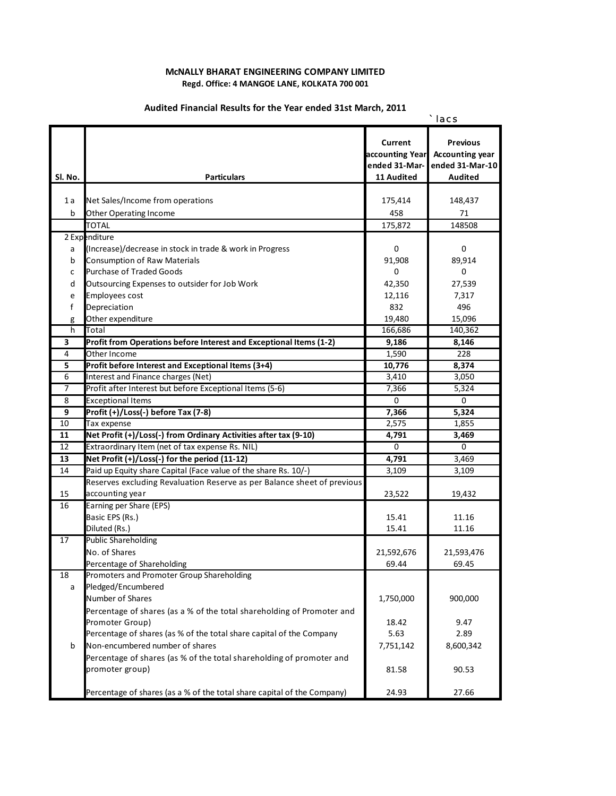## **McNALLY BHARAT ENGINEERING COMPANY LIMITED Regd. Office: 4 MANGOE LANE, KOLKATA 700 001**

## *` lacs* **Sl. No. Particulars** 1a Net Sales/Income from operations 175,414 175,414 148,437 b Other Operating Income 6 1 2 2 3 458 71 TOTAL 175,872 148508 2 Expenditure a (Increase)/decrease in stock in trade & work in Progress 0 0 **b** Consumption of Raw Materials **89,914** 89,914 c Purchase of Traded Goods 0 0 d Outsourcing Expenses to outsider for Job Work 42,350 42,350 27,539 e Employees cost 12,116 7,317 f Depreciation 832 496 g Other expenditure 19,480 15,096 h <mark>T</mark>otal 166,686 140,362 **3 Profit from Operations before Interest and Exceptional Items (1‐2) 9,186 8,146** 4 Other Income 228 **5 Profit before Interest and Exceptional Items (3+4) 10,776 8,374** 6 Interest and Finance charges (Net) 3,410 3,050 7 Profit after Interest but before Exceptional Items (5-6) 7,366 5,324 8 Exceptional Items 0 0 **9 Profit (+)/Loss(‐) before Tax (7‐8) 7,366 5,324**  $10$  Tax expense 2,575 1,855 **11 Net Profit (+)/Loss(‐) from Ordinary Activities after tax (9‐10) 4,791 3,469** 12 Extraordinary Item (net of tax expense Rs. NIL) 0 0 **13 Net Profit (+)/Loss(‐) for the period (11‐12) 4,791** 3,469 14 Paid up Equity share Capital (Face value of the share Rs. 10/-) 3,109 3,109 3,109 15 23,522 19,432 accounting year 16 Earning per Share (EPS) Basic EPS (Rs.) 15.41 11.16 Diluted (Rs.) 15.41 11.16 17 Public Shareholding No. of Shares 21,592,676 21,593,476 Percentage of Shareholding and the set of the set of the set of the set of the set of the set of the set of the set of the set of the set of the set of the set of the set of the set of the set of the set of the set of the 18 Promoters and Promoter Group Shareholding a Pledged/Encumbered Number of Shares 2000 1,750,000 900,000 900,000 900,000 900,000 900,000 900,000 900,000 900,000 900,000 900,000  $18.42$  9.47 Percentage of shares (as % of the total share capital of the Company 5.63 5.63 2.89 b Non-encumbered number of shares 7,751,142 8,600,342 81.58 90.53 Percentage of shares (as a % of the total share capital of the Company) 24.93 27.66 **Current accounting Year ended 31‐Mar‐ 11 Audited Previous Accounting year ended 31‐Mar‐10 Audited** Reserves excluding Revaluation Reserve as per Balance sheet of previous Percentage of shares (as a % of the total shareholding of Promoter and Promoter Group) Percentage of shares (as % of the total shareholding of promoter and promoter group)

## **Audited Financial Results for the Year ended 31st March, 2011**